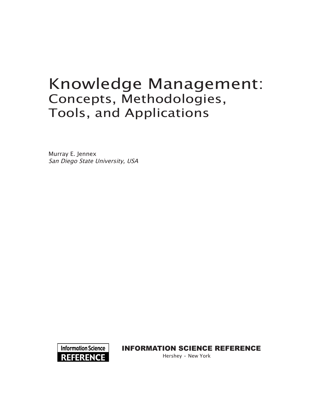# Knowledge Management: Concepts, Methodologies, Tools, and Applications

Murray E. Jennex San Diego State University, USA



Information Science reference

Hershey • New York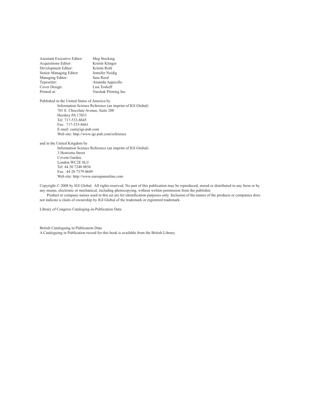| Assistant Executive Editor: | Meg Stocking          |
|-----------------------------|-----------------------|
| Acquisitions Editor:        | Kristin Klinger       |
| Development Editor:         | Kristin Roth          |
| Senior Managing Editor:     | Jennifer Neidig       |
| Managing Editor:            | Sara Reed             |
| Typesetter:                 | Amanda Appicello      |
| Cover Design:               | Lisa Tosheff          |
| Printed at:                 | Yurchak Printing Inc. |

Published in the United States of America by Information Science Reference (an imprint of IGI Global) 701 E. Chocolate Avenue, Suite 200 Hershey PA 17033 Tel: 717-533-8845 Fax: 717-533-8661 E-mail: cust@igi-pub.com Web site: http://www.igi-pub.com/reference

and in the United Kingdom by

Information Science Reference (an imprint of IGI Global) 3 Henrietta Street Covent Garden London WC2E 8LU Tel: 44 20 7240 0856 Fax: 44 20 7379 0609 Web site: http://www.eurospanonline.com

Copyright © 2008 by IGI Global. All rights reserved. No part of this publication may be reproduced, stored or distributed in any form or by any means, electronic or mechanical, including photocopying, without written permission from the publisher.

Product or company names used in this set are for identification purposes only. Inclusion of the names of the products or companies does not indicate a claim of ownership by IGI Global of the trademark or registered trademark.

Library of Congress Cataloging-in-Publication Data

British Cataloguing in Publication Data A Cataloguing in Publication record for this book is available from the British Library.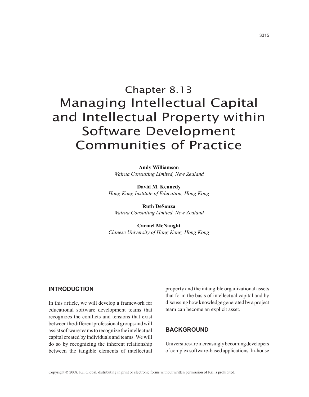## Chapter 8.13 Managing Intellectual Capital and Intellectual Property within Software Development Communities of Practice

**Andy Williamson** *Wairua Consulting Limited, New Zealand*

**David M. Kennedy** *Hong Kong Institute of Education, Hong Kong*

**Ruth DeSouza** *Wairua Consulting Limited, New Zealand*

**Carmel McNaught** *Chinese University of Hong Kong, Hong Kong*

#### **INTRODUCTION**

In this article, we will develop a framework for educational software development teams that recognizes the conflicts and tensions that exist between the different professional groups and will assist software teams to recognize the intellectual capital created by individuals and teams. We will do so by recognizing the inherent relationship between the tangible elements of intellectual

property and the intangible organizational assets that form the basis of intellectual capital and by discussing how knowledge generated by a project team can become an explicit asset.

#### **BACkgROUND**

Universities are increasingly becoming developers of complex software-based applications. In-house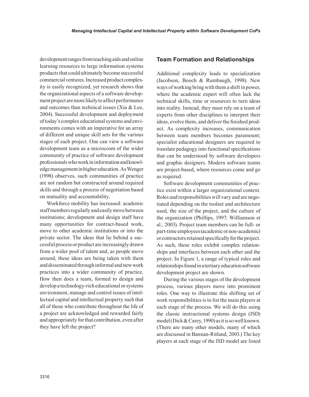development ranges from teaching aids and online learning resources to large information systems products that could ultimately become successful commercial ventures. Increased product complexity is easily recognized, yet research shows that the organizational aspects of a software development project are more likely to affect performance and outcomes than technical issues (Xia & Lee, 2004). Successful development and deployment of today's complex educational systems and environments comes with an imperative for an array of different and unique skill sets for the various stages of each project. One can view a software development team as a microcosm of the wider community of practice of software development professionals who work in information and knowledge management in higher education. As Wenger (1998) observes, such communities of practice are not random but constructed around required skills and through a process of negotiation based on mutuality and accountability.

Workforce mobility has increased: academic staff members regularly and easily move between institutions; development and design staff have many opportunities for contract-based work, move to other academic institutions or into the private sector. The ideas that lie behind a successful process or product are increasingly drawn from a wider pool of talent and, as people move around, these ideas are being taken with them and disseminated through informal and new work practices into a wider community of practice. How then does a team, formed to design and develop a technology-rich educational or systems environment, manage and control issues of intellectual capital and intellectual property such that all of those who contribute throughout the life of a project are acknowledged and rewarded fairly and appropriately for that contribution, even after they have left the project?

#### **Team Formation and Relationships**

Additional complexity leads to specialization (Jacobson, Booch & Rumbaugh, 1998). New ways of working bring with them a shift in power, where the academic expert will often lack the technical skills, time or resources to turn ideas into reality. Instead, they must rely on a team of experts from other disciplines to interpret their ideas, evolve them, and deliver the finished product. As complexity increases, communication between team members becomes paramount; specialist educational designers are required to translate pedagogy into functional specifications that can be understood by software developers and graphic designers. Modern software teams are project-based, where resources come and go as required.

Software development communities of practice exist within a larger organizational context. Roles and responsibilities will vary and are negotiated depending on the toolset and architecture used, the size of the project, and the culture of the organization (Phillips, 1997; Williamson et al., 2003). Project team members can be full- or part-time employees (academic or non-academic) or contractors retained specifically for the project. As such, these roles exhibit complex relationships and interfaces between each other and the project. In Figure 1, a range of typical roles and relationships found in a tertiary education software development project are shown.

During the various stages of the development process, various players move into prominent roles. One way to illustrate this shifting set of work responsibilities is to list the main players at each stage of the process. We will do this using the classic instructional systems design (ISD) model (Dick & Carey, 1990) as it is so well known. (There are many other models, many of which are discussed in Bannan-Ritland, 2003.) The key players at each stage of the ISD model are listed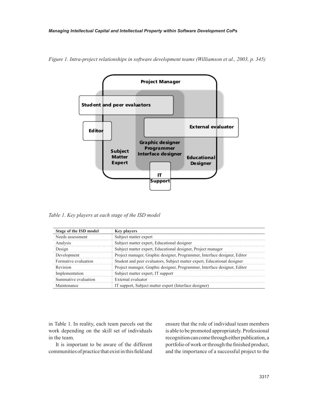

*Figure 1. Intra-project relationships in software development teams (Williamson et al., 2003, p. 345)*

*Table 1. Key players at each stage of the ISD model*

| Stage of the ISD model | <b>Key players</b>                                                        |
|------------------------|---------------------------------------------------------------------------|
| Needs assessment       | Subject matter expert                                                     |
| Analysis               | Subject matter expert, Educational designer                               |
| Design                 | Subject matter expert, Educational designer, Project manager              |
| Development            | Project manager, Graphic designer, Programmer, Interface designer, Editor |
| Formative evaluation   | Student and peer evaluators, Subject matter expert, Educational designer  |
| Revision               | Project manager, Graphic designer, Programmer, Interface designer, Editor |
| Implementation         | Subject matter expert, IT support                                         |
| Summative evaluation   | External evaluator                                                        |
| Maintenance            | IT support, Subject matter expert (Interface designer)                    |

in Table 1. In reality, each team parcels out the work depending on the skill set of individuals in the team.

It is important to be aware of the different communities of practice that exist in this field and

ensure that the role of individual team members is able to be promoted appropriately. Professional recognition can come through either publication, a portfolio of work or through the finished product, and the importance of a successful project to the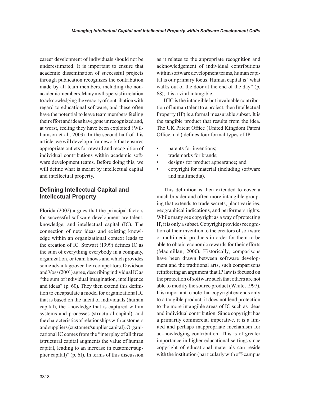career development of individuals should not be underestimated. It is important to ensure that academic dissemination of successful projects through publication recognizes the contribution made by all team members, including the nonacademic members. Many myths persist in relation to acknowledging the veracity of contribution with regard to educational software, and these often have the potential to leave team members feeling their effort and ideas have gone unrecognized and, at worst, feeling they have been exploited (Williamson et al., 2003). In the second half of this article, we will develop a framework that ensures appropriate outlets for reward and recognition of individual contributions within academic software development teams. Before doing this, we will define what is meant by intellectual capital and intellectual property.

## **Defining Intellectual Capital and Intellectual property**

Florida (2002) argues that the principal factors for successful software development are talent, knowledge, and intellectual capital (IC). The connection of new ideas and existing knowledge within an organizational context leads to the creation of IC. Stewart (1999) defines IC as the sum of everything everybody in a company, organization, or team knows and which provides some advantage over their competitors. Davidson and Voss (2001) agree, describing individual IC as "the sum of individual imagination, intelligence and ideas" (p. 60). They then extend this definition to encapsulate a model for organizational IC that is based on the talent of individuals (human capital), the knowledge that is captured within systems and processes (structural capital), and the characteristics of relationships with customers and suppliers (customer/supplier capital). Organizational IC comes from the "interplay of all three (structural capital augments the value of human capital, leading to an increase in customer/supplier capital)" (p. 61). In terms of this discussion as it relates to the appropriate recognition and acknowledgement of individual contributions within software development teams, human capital is our primary focus. Human capital is "what walks out of the door at the end of the day" (p. 68); it is a vital intangible.

If IC is the intangible but invaluable contribution of human talent to a project, then Intellectual Property (IP) is a formal measurable subset. It is the tangible product that results from the idea. The UK Patent Office (United Kingdom Patent Office, n.d.) defines four formal types of IP:

- patents for inventions;
- trademarks for brands;
- designs for product appearance; and
- copyright for material (including software and multimedia).

This definition is then extended to cover a much broader and often more intangible grouping that extends to trade secrets, plant varieties, geographical indications, and performers rights. While many see copyright as a way of protecting IP, it is only a subset. Copyright provides recognition of their invention to the creators of software or multimedia products in order for them to be able to obtain economic rewards for their efforts (Macmillan, 2000). Historically, comparisons have been drawn between software development and the traditional arts, such comparisons reinforcing an argument that IP law is focused on the protection of software such that others are not able to modify the source product (White, 1997). It is important to note that copyright extends only to a tangible product, it does not lend protection to the more intangible areas of IC such as ideas and individual contribution. Since copyright has a primarily commercial imperative, it is a limited and perhaps inappropriate mechanism for acknowledging contribution. This is of greater importance in higher educational settings since copyright of educational materials can reside with the institution (particularly with off-campus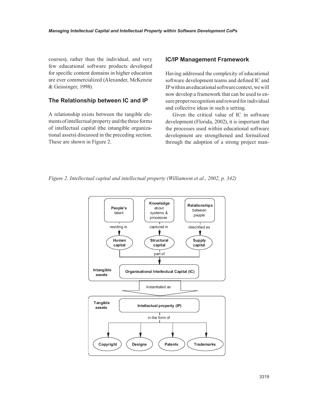courses), rather than the individual, and very few educational software products developed for specific content domains in higher education are ever commercialized (Alexander, McKenzie & Geissinger, 1998).

#### **The Relationship between IC and Ip**

A relationship exists between the tangible elements of intellectual property and the three forms of intellectual capital (the intangible organizational assets) discussed in the preceding section. These are shown in Figure 2.

#### **IC/Ip Management Framework**

Having addressed the complexity of educational software development teams and defined IC and IP within an educational software context, we will now develop a framework that can be used to ensure proper recognition and reward for individual and collective ideas in such a setting.

Given the critical value of IC in software development (Florida, 2002), it is important that the processes used within educational software development are strengthened and formalized through the adoption of a strong project man-

*Figure 2. Intellectual capital and intellectual property (Williamson et al., 2002, p. 342)*

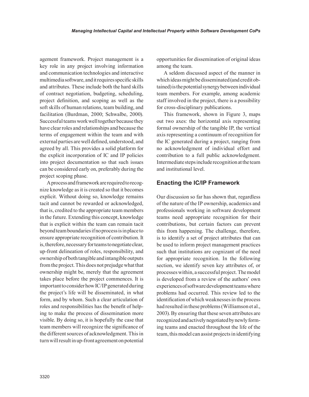agement framework. Project management is a key role in any project involving information and communication technologies and interactive multimedia software, and it requires specific skills and attributes. These include both the hard skills of contract negotiation, budgeting, scheduling, project definition, and scoping as well as the soft skills of human relations, team building, and facilitation (Burdman, 2000; Schwalbe, 2000). Successful teams work well together because they have clear roles and relationships and because the terms of engagement within the team and with external parties are well defined, understood, and agreed by all. This provides a solid platform for the explicit incorporation of IC and IP policies into project documentation so that such issues can be considered early on, preferably during the project scoping phase.

A process and framework are required to recognize knowledge as it is created so that it becomes explicit. Without doing so, knowledge remains tacit and cannot be rewarded or acknowledged, that is, credited to the appropriate team members in the future. Extending this concept, knowledge that is explicit within the team can remain tacit beyond team boundaries if no process is in place to ensure appropriate recognition of contribution. It is, therefore, necessary for teams to negotiate clear, up-front delineation of roles, responsibility, and ownership of both tangible and intangible outputs from the project. This does not prejudge what that ownership might be, merely that the agreement takes place before the project commences. It is important to consider how IC/IP generated during the project's life will be disseminated, in what form, and by whom. Such a clear articulation of roles and responsibilities has the benefit of helping to make the process of dissemination more visible. By doing so, it is hopefully the case that team members will recognize the significance of the different sources of acknowledgment. This in turn will result in up-front agreement on potential opportunities for dissemination of original ideas among the team.

A seldom discussed aspect of the manner in which ideas might be disseminated (and credit obtained) is the potential synergy between individual team members. For example, among academic staff involved in the project, there is a possibility for cross-disciplinary publications.

This framework, shown in Figure 3, maps out two axes: the horizontal axis representing formal ownership of the tangible IP, the vertical axis representing a continuum of recognition for the IC generated during a project, ranging from no acknowledgment of individual effort and contribution to a full public acknowledgment. Intermediate steps include recognition at the team and institutional level.

#### **enacting the IC/Ip Framework**

Our discussion so far has shown that, regardless of the nature of the IP ownership, academics and professionals working in software development teams need appropriate recognition for their contributions, but certain factors can prevent this from happening. The challenge, therefore, is to identify a set of project attributes that can be used to inform project management practices such that institutions are cognizant of the need for appropriate recognition. In the following section, we identify seven key attributes of, or processes within, a successful project. The model is developed from a review of the authors' own experiences of software development teams where problems had occurred. This review led to the identification of which weaknesses in the process had resulted in these problems (Williamson et al., 2003). By ensuring that these seven attributes are recognized and actively negotiated by newly forming teams and enacted throughout the life of the team, this model can assist projects in identifying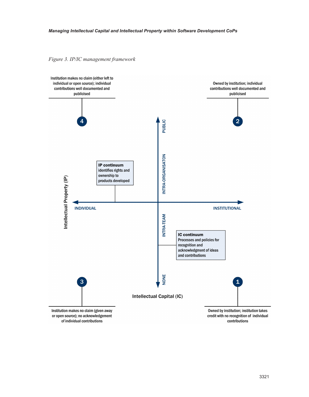

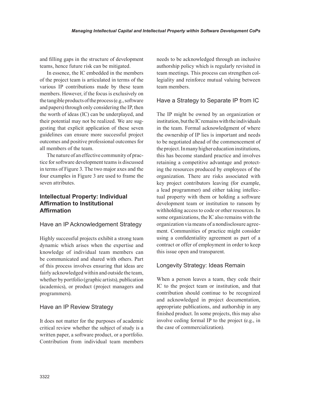and filling gaps in the structure of development teams, hence future risk can be mitigated.

In essence, the IC embedded in the members of the project team is articulated in terms of the various IP contributions made by these team members. However, if the focus is exclusively on the tangible products of the process (e.g., software and papers) through only considering the IP, then the worth of ideas (IC) can be underplayed, and their potential may not be realized. We are suggesting that explicit application of these seven guidelines can ensure more successful project outcomes and positive professional outcomes for all members of the team.

The nature of an effective community of practice for software development teams is discussed in terms of Figure 3. The two major axes and the four examples in Figure 3 are used to frame the seven attributes.

## **Intellectual property: Individual Affirmation to Institutional Affirmation**

### Have an IP Acknowledgement Strategy

Highly successful projects exhibit a strong team dynamic which arises when the expertise and knowledge of individual team members can be communicated and shared with others. Part of this process involves ensuring that ideas are fairly acknowledged within and outside the team, whether by portfolio (graphic artists), publication (academics), or product (project managers and programmers).

### Have an IP Review Strategy

It does not matter for the purposes of academic critical review whether the subject of study is a written paper, a software product, or a portfolio. Contribution from individual team members needs to be acknowledged through an inclusive authorship policy which is regularly revisited in team meetings. This process can strengthen collegiality and reinforce mutual valuing between team members.

## Have a Strategy to Separate IP from IC

The IP might be owned by an organization or institution, but the IC remains with the individuals in the team. Formal acknowledgment of where the ownership of IP lies is important and needs to be negotiated ahead of the commencement of the project. In many higher education institutions, this has become standard practice and involves retaining a competitive advantage and protecting the resources produced by employees of the organization. There are risks associated with key project contributors leaving (for example, a lead programmer) and either taking intellectual property with them or holding a software development team or institution to ransom by withholding access to code or other resources. In some organizations, the IC also remains with the organization via means of a nondisclosure agreement. Communities of practice might consider using a confidentiality agreement as part of a contract or offer of employment in order to keep this issue open and transparent.

### Longevity Strategy: Ideas Remain

When a person leaves a team, they cede their IC to the project team or institution, and that contribution should continue to be recognized and acknowledged in project documentation, appropriate publications, and authorship in any finished product. In some projects, this may also involve ceding formal IP to the project (e.g., in the case of commercialization).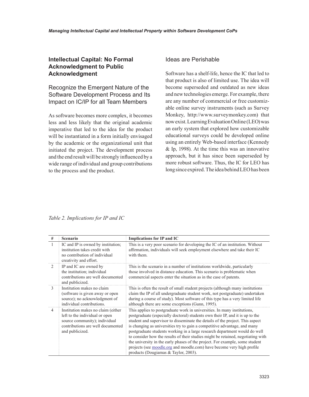### **Intellectual Capital: No Formal Acknowledgment to public Acknowledgment**

Recognize the Emergent Nature of the Software Development Process and Its Impact on IC/IP for all Team Members

As software becomes more complex, it becomes less and less likely that the original academic imperative that led to the idea for the product will be instantiated in a form initially envisaged by the academic or the organizational unit that initiated the project. The development process and the end result will be strongly influenced by a wide range of individual and group contributions to the process and the product.

#### Ideas are Perishable

Software has a shelf-life, hence the IC that led to that product is also of limited use. The idea will become superseded and outdated as new ideas and new technologies emerge. For example, there are any number of commercial or free customizable online survey instruments (such as Survey Monkey, http://www.surveymonkey.com) that now exist. Learning Evaluation Online (LEO) was an early system that explored how customizable educational surveys could be developed online using an entirely Web-based interface (Kennedy & Ip, 1998). At the time this was an innovative approach, but it has since been superseded by more robust software. Thus, the IC for LEO has long since expired. The idea behind LEO has been

*Table 2. Implications for IP and IC*

| #             | <b>Scenario</b>                                                                                                                                               | Implications for IP and IC                                                                                                                                                                                                                                                                                                                                                                                                                                                                                                                                                                                                                                                                  |
|---------------|---------------------------------------------------------------------------------------------------------------------------------------------------------------|---------------------------------------------------------------------------------------------------------------------------------------------------------------------------------------------------------------------------------------------------------------------------------------------------------------------------------------------------------------------------------------------------------------------------------------------------------------------------------------------------------------------------------------------------------------------------------------------------------------------------------------------------------------------------------------------|
|               | IC and IP is owned by institution;<br>institution takes credit with<br>no contribution of individual<br>creativity and effort.                                | This is a very poor scenario for developing the IC of an institution. Without<br>affirmation, individuals will seek employment elsewhere and take their IC<br>with them.                                                                                                                                                                                                                                                                                                                                                                                                                                                                                                                    |
| 2             | IP and IC are owned by<br>the institution; individual<br>contributions are well documented<br>and publicized.                                                 | This is the scenario in a number of institutions worldwide, particularly<br>those involved in distance education. This scenario is problematic when<br>commercial aspects enter the situation as in the case of patents.                                                                                                                                                                                                                                                                                                                                                                                                                                                                    |
| $\mathcal{E}$ | Institution makes no claim<br>(software is given away or open<br>source); no acknowledgment of<br>individual contributions.                                   | This is often the result of small student projects (although many institutions<br>claim the IP of all undergraduate student work, not postgraduate) undertaken<br>during a course of study). Most software of this type has a very limited life<br>although there are some exceptions (Gunn, 1995).                                                                                                                                                                                                                                                                                                                                                                                         |
| 4             | Institution makes no claim (either<br>left to the individual or open<br>source community); individual<br>contributions are well documented<br>and publicized. | This applies to postgraduate work in universities. In many institutions,<br>postgraduate (especially doctoral) students own their IP, and it is up to the<br>student and supervisor to disseminate the details of the project. This aspect<br>is changing as universities try to gain a competitive advantage, and many<br>postgraduate students working in a large research department would do well<br>to consider how the results of their studies might be retained, negotiating with<br>the university in the early phases of the project. For example, some student<br>projects (see moodle.org and moodle.com) have become very high profile<br>products (Dougiamas & Taylor, 2003). |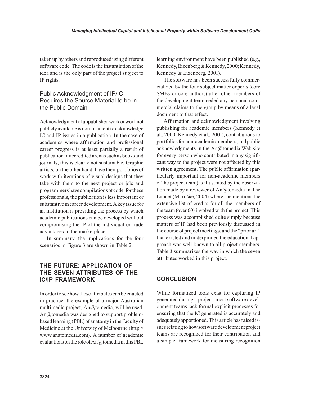taken up by others and reproduced using different software code. The code is the instantiation of the idea and is the only part of the project subject to IP rights.

### Public Acknowledgment of IP/IC Requires the Source Material to be in the Public Domain

Acknowledgment of unpublished work or work not publicly available is not sufficient to acknowledge IC and IP issues in a publication. In the case of academics where affirmation and professional career progress is at least partially a result of publication in accredited arenas such as books and journals, this is clearly not sustainable. Graphic artists, on the other hand, have their portfolios of work with iterations of visual designs that they take with them to the next project or job; and programmers have compilations of code: for these professionals, the publication is less important or substantive in career development. A key issue for an institution is providing the process by which academic publications can be developed without compromising the IP of the individual or trade advantages in the marketplace.

In summary, the implications for the four scenarios in Figure 3 are shown in Table 2.

## **The FUTURe: ApplICATION OF The SeveN ATTRIBUTeS OF The IC/Ip FRAMewORk**

In order to see how these attributes can be enacted in practice, the example of a major Australian multimedia project, An@tomedia, will be used. An@tomedia was designed to support problembased learning (PBL) of anatomy in the Faculty of Medicine at the University of Melbourne (http:// www.anatomedia.com). A number of academic evaluations on the role of An@tomedia in this PBL learning environment have been published (e.g., Kennedy, Eizenberg & Kennedy, 2000; Kennedy, Kennedy & Eizenberg, 2001).

The software has been successfully commercialized by the four subject matter experts (core SMEs or core authors) after other members of the development team ceded any personal commercial claims to the group by means of a legal document to that effect.

Affirmation and acknowledgment involving publishing for academic members (Kennedy et al., 2000; Kennedy et al., 2001), contributions to portfolios for non-academic members, and public acknowledgments in the An@tomedia Web site for every person who contributed in any significant way to the project were not affected by this written agreement. The public affirmation (particularly important for non-academic members of the project team) is illustrated by the observation made by a reviewer of An@tomedia in The Lancet (Marušiæ, 2004) where she mentions the extensive list of credits for all the members of the team (over 60) involved with the project. This process was accomplished quite simply because matters of IP had been previously discussed in the course of project meetings, and the "prior art" that existed and underpinned the educational approach was well known to all project members. Table 3 summarizes the way in which the seven attributes worked in this project.

### **CONClUSION**

While formalized tools exist for capturing IP generated during a project, most software development teams lack formal explicit processes for ensuring that the IC generated is accurately and adequately apportioned. This article has raised issues relating to how software development project teams are recognized for their contribution and a simple framework for measuring recognition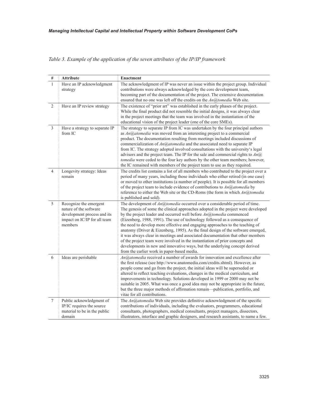|  |  |  | Table 3. Example of the application of the seven attributes of the IP/IP framework |  |  |  |  |  |  |
|--|--|--|------------------------------------------------------------------------------------|--|--|--|--|--|--|
|--|--|--|------------------------------------------------------------------------------------|--|--|--|--|--|--|

| $\#$           | <b>Attribute</b>                                                                                                           | <b>Enactment</b>                                                                                                                                                                                                                                                                                                                                                                                                                                                                                                                                                                                                                                                                                                                                                                              |
|----------------|----------------------------------------------------------------------------------------------------------------------------|-----------------------------------------------------------------------------------------------------------------------------------------------------------------------------------------------------------------------------------------------------------------------------------------------------------------------------------------------------------------------------------------------------------------------------------------------------------------------------------------------------------------------------------------------------------------------------------------------------------------------------------------------------------------------------------------------------------------------------------------------------------------------------------------------|
| $\mathbf{1}$   | Have an IP acknowledgment<br>strategy                                                                                      | The acknowledgment of IP was never an issue within the project group. Individual<br>contributions were always acknowledged by the core development team,<br>becoming part of the documentation of the project. The extensive documentation<br>ensured that no one was left off the credits on the $An@tomedia$ Web site.                                                                                                                                                                                                                                                                                                                                                                                                                                                                      |
| $\overline{2}$ | Have an IP review strategy                                                                                                 | The existence of "prior art" was established in the early phases of the project.<br>While the final product did not resemble the initial designs, it was always clear<br>in the project meetings that the team was involved in the instantiation of the<br>educational vision of the project leader (one of the core SMEs).                                                                                                                                                                                                                                                                                                                                                                                                                                                                   |
| $\overline{3}$ | Have a strategy to separate IP<br>from IC                                                                                  | The strategy to separate IP from IC was undertaken by the four principal authors<br>as $An$ $@atomedia$ was moved from an interesting project to a commercial<br>product. The documentation resulting from meetings included discussions of<br>commercialization of $An@atomedia$ and the associated need to separate IP<br>from IC. The strategy adopted involved consultations with the university's legal<br>advisors and the project team. The IP for the sale and commercial rights to $An@$<br>tomedia were ceded to the four key authors by the other team members; however,<br>the IC remained with members of the project team to use as they required.                                                                                                                              |
| 4              | Longevity strategy: Ideas<br>remain                                                                                        | The credits list contains a list of all members who contributed to the project over a<br>period of many years, including those individuals who either retired (in one case)<br>or moved to other institutions (a number of people). It is possible for all members<br>of the project team to include evidence of contributions to $An@atomedia$ by<br>reference to either the Web site or the CD-Roms (the form in which $An@tomedia$<br>is published and sold).                                                                                                                                                                                                                                                                                                                              |
| 5              | Recognize the emergent<br>nature of the software<br>development process and its<br>impact on IC/IP for all team<br>members | The development of $An@tomedia$ occurred over a considerable period of time.<br>The genesis of some the clinical approaches adopted in the project were developed<br>by the project leader and occurred well before An@tomedia commenced<br>(Eizenberg, 1988, 1991). The use of technology followed as a consequence of<br>the need to develop more effective and engaging approaches to the teaching of<br>anatomy (Driver & Eizenberg, 1995). As the final design of the software emerged,<br>it was always clear in meetings and associated documentation that other members<br>of the project team were involved in the instantiation of prior concepts and<br>developments in new and innovative ways, but the underlying concept derived<br>from the earlier work in paper-based media. |
| 6              | Ideas are perishable                                                                                                       | An@atomedia received a number of awards for innovation and excellence after<br>the first release (see http://www.anatomedia.com/credits.shtml). However, as<br>people come and go from the project, the initial ideas will be superseded or<br>altered to reflect teaching evaluations, changes in the medical curriculum, and<br>improvements in technology. Solutions developed in 1999 or 2000 may not be<br>suitable in 2005. What was once a good idea may not be appropriate in the future,<br>but the three major methods of affirmation remain--publication, portfolio, and<br>vitae for all contributions.                                                                                                                                                                           |
| $\tau$         | Public acknowledgment of<br>IP/IC requires the source<br>material to be in the public<br>domain                            | The $An@atomedia$ Web site provides definitive acknowledgment of the specific<br>contributions of individuals, including the evaluators, programmers, educational<br>consultants, photographers, medical consultants, project managers, dissectors,<br>illustrators, interface and graphic designers, and research assistants, to name a few.                                                                                                                                                                                                                                                                                                                                                                                                                                                 |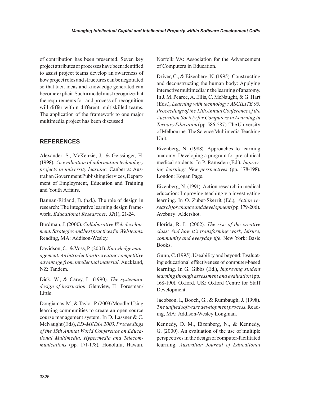of contribution has been presented. Seven key project attributes or processes have been identified to assist project teams develop an awareness of how project roles and structures can be negotiated so that tacit ideas and knowledge generated can become explicit. Such a model must recognize that the requirements for, and process of, recognition will differ within different multiskilled teams. The application of the framework to one major multimedia project has been discussed.

## **ReFeReNCeS**

Alexander, S., McKenzie, J., & Geissinger, H. (1998). *An evaluation of information technology projects in university learning.* Canberra: Australian Government Publishing Services, Department of Employment, Education and Training and Youth Affairs.

Bannan-Ritland, B. (n.d.). The role of design in research: The integrative learning design framework. *Educational Researcher, 32*(1), 21-24.

Burdman, J. (2000). *Collaborative Web development: Strategies and best practices for Web teams*. Reading, MA: Addison-Wesley.

Davidson, C., & Voss, P. (2001). *Knowledge management: An introduction to creating competitive advantage from intellectual material.* Auckland, NZ: Tandem.

Dick, W., & Carey, L. (1990). *The systematic design of instruction.* Glenview, IL: Foresman/ Little.

Dougiamas, M., & Taylor, P. (2003) Moodle: Using learning communities to create an open source course management system. In D. Lassner & C. McNaught (Eds), *ED-MEDIA 2003, Proceedings of the 15th Annual World Conference on Educational Multimedia, Hypermedia and Telecommunications* (pp. 171-178). Honolulu, Hawaii. Norfolk VA: Association for the Advancement of Computers in Education.

Driver, C., & Eizenberg, N. (1995). Constructing and deconstructing the human body: Applying interactive multimedia in the learning of anatomy. In J. M. Pearce, A. Ellis, C. McNaught, & G. Hart (Eds.), *Learning with technology: ASCILITE 95. Proceedings of the 12th Annual Conference of the Australian Society for Computers in Learning in Tertiary Education* (pp. 586-587). The University of Melbourne: The Science Multimedia Teaching Unit.

Eizenberg, N. (1988). Approaches to learning anatomy: Developing a program for pre-clinical medical students. In P. Ramsden (Ed.), *Improving learning: New perspectives* (pp. 178-198). London: Kogan Page.

Eizenberg, N. (1991). Action research in medical education: Improving teaching via investigating learning. In O. Zuber-Skerrit (Ed.), *Action research for change and development* (pp. 179-206). Avebury: Aldershot.

Florida, R. L. (2002). *The rise of the creative class: And how it's transforming work, leisure, community and everyday life.* New York: Basic Books.

Gunn, C. (1995). Useability and beyond: Evaluating educational effectiveness of computer-based learning. In G. Gibbs (Ed.), *Improving student learning through assessment and evaluation* (pp. 168-190). Oxford, UK: Oxford Centre for Staff Development.

Jacobson, I., Booch, G., & Rumbaugh, J. (1998). *The unified software development process.* Reading, MA: Addison-Wesley Longman.

Kennedy, D. M., Eizenberg, N., & Kennedy, G. (2000). An evaluation of the use of multiple perspectives in the design of computer-facilitated learning. *Australian Journal of Educational*